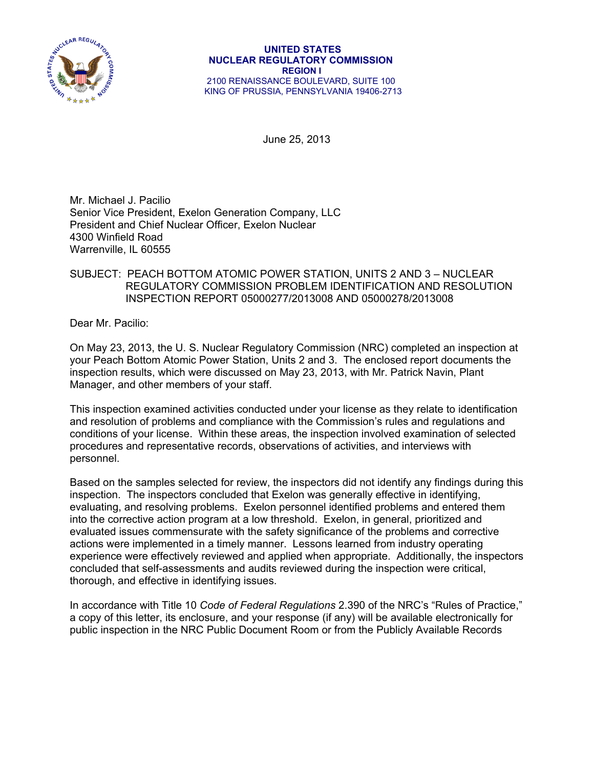

June 25, 2013

Mr. Michael J. Pacilio Senior Vice President, Exelon Generation Company, LLC President and Chief Nuclear Officer, Exelon Nuclear 4300 Winfield Road Warrenville, IL 60555

# SUBJECT: PEACH BOTTOM ATOMIC POWER STATION, UNITS 2 AND 3 – NUCLEAR REGULATORY COMMISSION PROBLEM IDENTIFICATION AND RESOLUTION INSPECTION REPORT 05000277/2013008 AND 05000278/2013008

Dear Mr. Pacilio:

On May 23, 2013, the U. S. Nuclear Regulatory Commission (NRC) completed an inspection at your Peach Bottom Atomic Power Station, Units 2 and 3. The enclosed report documents the inspection results, which were discussed on May 23, 2013, with Mr. Patrick Navin, Plant Manager, and other members of your staff.

This inspection examined activities conducted under your license as they relate to identification and resolution of problems and compliance with the Commission's rules and regulations and conditions of your license. Within these areas, the inspection involved examination of selected procedures and representative records, observations of activities, and interviews with personnel.

Based on the samples selected for review, the inspectors did not identify any findings during this inspection. The inspectors concluded that Exelon was generally effective in identifying, evaluating, and resolving problems. Exelon personnel identified problems and entered them into the corrective action program at a low threshold. Exelon, in general, prioritized and evaluated issues commensurate with the safety significance of the problems and corrective actions were implemented in a timely manner. Lessons learned from industry operating experience were effectively reviewed and applied when appropriate. Additionally, the inspectors concluded that self-assessments and audits reviewed during the inspection were critical, thorough, and effective in identifying issues.

In accordance with Title 10 *Code of Federal Regulations* 2.390 of the NRC's "Rules of Practice," a copy of this letter, its enclosure, and your response (if any) will be available electronically for public inspection in the NRC Public Document Room or from the Publicly Available Records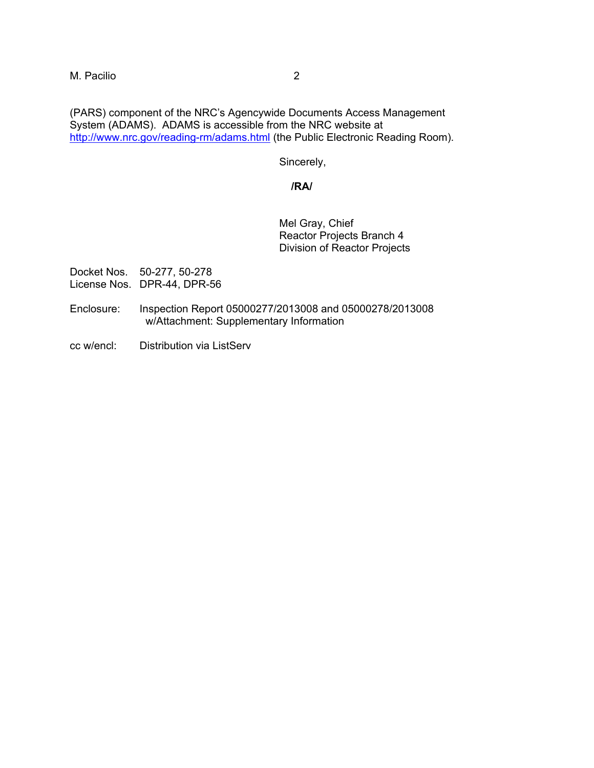(PARS) component of the NRC's Agencywide Documents Access Management System (ADAMS). ADAMS is accessible from the NRC website at http://www.nrc.gov/reading-rm/adams.html (the Public Electronic Reading Room).

Sincerely,

### **/RA/**

Mel Gray, Chief Reactor Projects Branch 4 Division of Reactor Projects

Docket Nos. 50-277, 50-278 License Nos. DPR-44, DPR-56

- Enclosure: Inspection Report 05000277/2013008 and 05000278/2013008 w/Attachment: Supplementary Information
- cc w/encl: Distribution via ListServ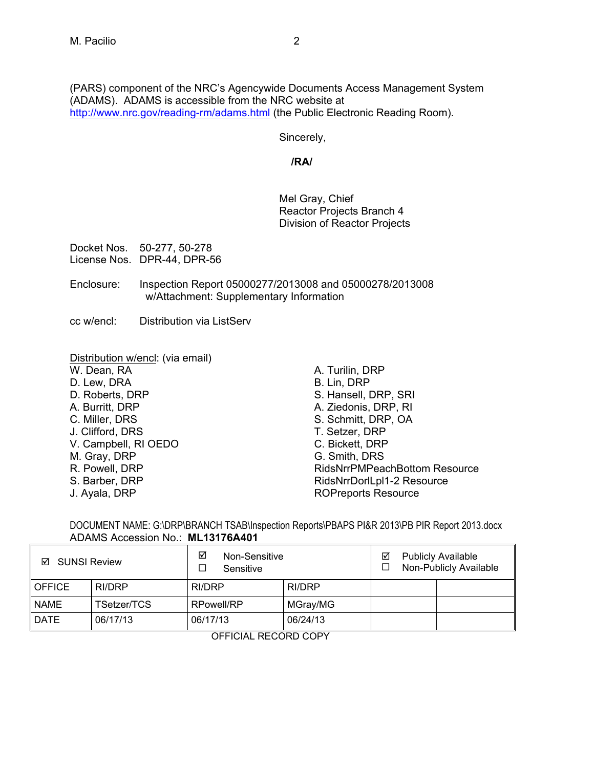(PARS) component of the NRC's Agencywide Documents Access Management System (ADAMS). ADAMS is accessible from the NRC website at http://www.nrc.gov/reading-rm/adams.html (the Public Electronic Reading Room).

Sincerely,

**/RA/** 

Mel Gray, Chief Reactor Projects Branch 4 Division of Reactor Projects

Docket Nos. 50-277, 50-278 License Nos. DPR-44, DPR-56

- Enclosure: Inspection Report 05000277/2013008 and 05000278/2013008 w/Attachment: Supplementary Information
- cc w/encl: Distribution via ListServ

Distribution w/encl: (via email) W. Dean, RA D. Lew, DRA D. Roberts, DRP A. Burritt, DRP C. Miller, DRS J. Clifford, DRS V. Campbell, RI OEDO M. Gray, DRP R. Powell, DRP S. Barber, DRP J. Ayala, DRP

A. Turilin, DRP B. Lin, DRP S. Hansell, DRP, SRI A. Ziedonis, DRP, RI S. Schmitt, DRP, OA T. Setzer, DRP C. Bickett, DRP G. Smith, DRS RidsNrrPMPeachBottom Resource RidsNrrDorlLpl1-2 Resource ROPreports Resource

DOCUMENT NAME: G:\DRP\BRANCH TSAB\Inspection Reports\PBAPS PI&R 2013\PB PIR Report 2013.docx ADAMS Accession No.: **ML13176A401**

| <b>SUNSI Review</b><br>☑             |             | ☑<br>Non-Sensitive<br>Sensitive |          | <b>Publicly Available</b><br>☑<br>Non-Publicly Available |  |
|--------------------------------------|-------------|---------------------------------|----------|----------------------------------------------------------|--|
| <b>OFFICE</b>                        | RI/DRP      | RI/DRP                          | RI/DRP   |                                                          |  |
| <b>NAME</b>                          | ГSetzer/TCS | <b>RPowell/RP</b>               | MGray/MG |                                                          |  |
| <b>DATE</b>                          | 06/17/13    | 06/17/13                        | 06/24/13 |                                                          |  |
| $- - - - - - - - - - - -$<br>------- |             |                                 |          |                                                          |  |

OFFICIAL RECORD COPY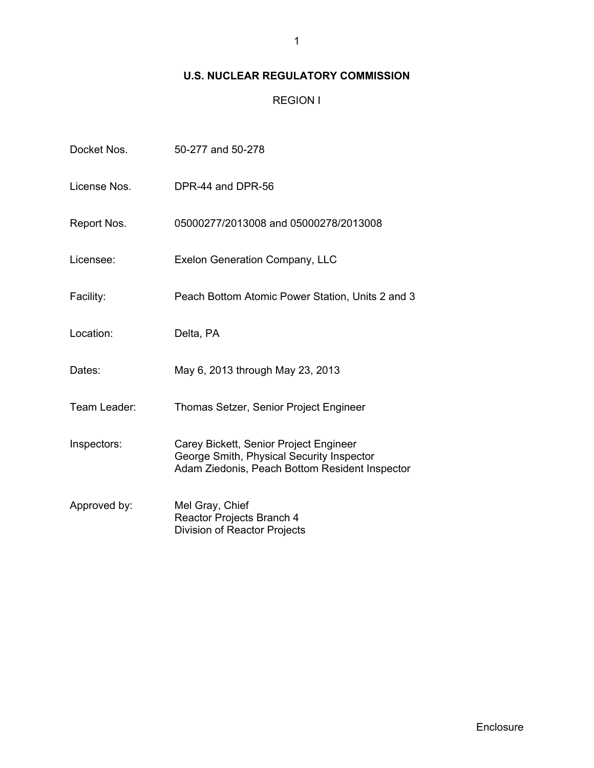# **U.S. NUCLEAR REGULATORY COMMISSION**

REGION I

| Docket Nos.  | 50-277 and 50-278                                                                                                                     |
|--------------|---------------------------------------------------------------------------------------------------------------------------------------|
| License Nos. | DPR-44 and DPR-56                                                                                                                     |
| Report Nos.  | 05000277/2013008 and 05000278/2013008                                                                                                 |
| Licensee:    | <b>Exelon Generation Company, LLC</b>                                                                                                 |
| Facility:    | Peach Bottom Atomic Power Station, Units 2 and 3                                                                                      |
| Location:    | Delta, PA                                                                                                                             |
| Dates:       | May 6, 2013 through May 23, 2013                                                                                                      |
| Team Leader: | Thomas Setzer, Senior Project Engineer                                                                                                |
| Inspectors:  | Carey Bickett, Senior Project Engineer<br>George Smith, Physical Security Inspector<br>Adam Ziedonis, Peach Bottom Resident Inspector |
| Approved by: | Mel Gray, Chief<br>Reactor Projects Branch 4<br>Division of Reactor Projects                                                          |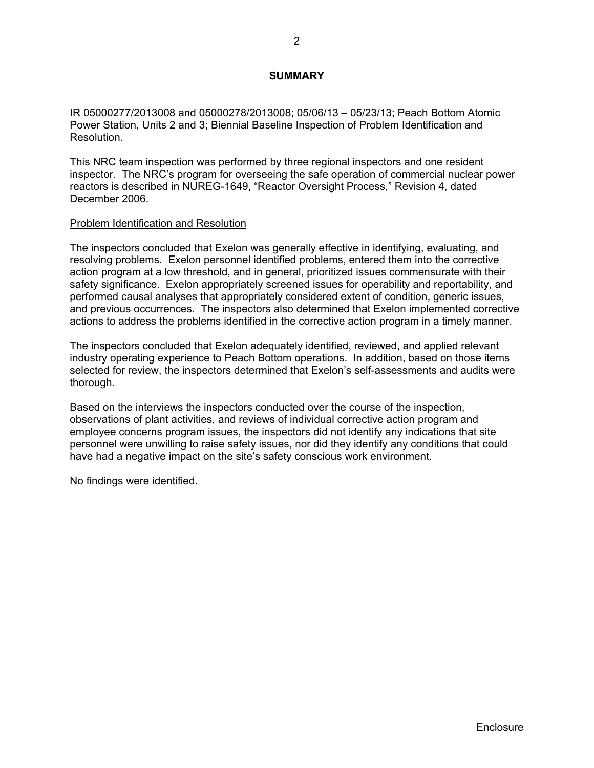## **SUMMARY**

IR 05000277/2013008 and 05000278/2013008; 05/06/13 – 05/23/13; Peach Bottom Atomic Power Station, Units 2 and 3; Biennial Baseline Inspection of Problem Identification and Resolution.

This NRC team inspection was performed by three regional inspectors and one resident inspector. The NRC's program for overseeing the safe operation of commercial nuclear power reactors is described in NUREG-1649, "Reactor Oversight Process," Revision 4, dated December 2006.

#### Problem Identification and Resolution

The inspectors concluded that Exelon was generally effective in identifying, evaluating, and resolving problems. Exelon personnel identified problems, entered them into the corrective action program at a low threshold, and in general, prioritized issues commensurate with their safety significance. Exelon appropriately screened issues for operability and reportability, and performed causal analyses that appropriately considered extent of condition, generic issues, and previous occurrences. The inspectors also determined that Exelon implemented corrective actions to address the problems identified in the corrective action program in a timely manner.

The inspectors concluded that Exelon adequately identified, reviewed, and applied relevant industry operating experience to Peach Bottom operations. In addition, based on those items selected for review, the inspectors determined that Exelon's self-assessments and audits were thorough.

Based on the interviews the inspectors conducted over the course of the inspection, observations of plant activities, and reviews of individual corrective action program and employee concerns program issues, the inspectors did not identify any indications that site personnel were unwilling to raise safety issues, nor did they identify any conditions that could have had a negative impact on the site's safety conscious work environment.

No findings were identified.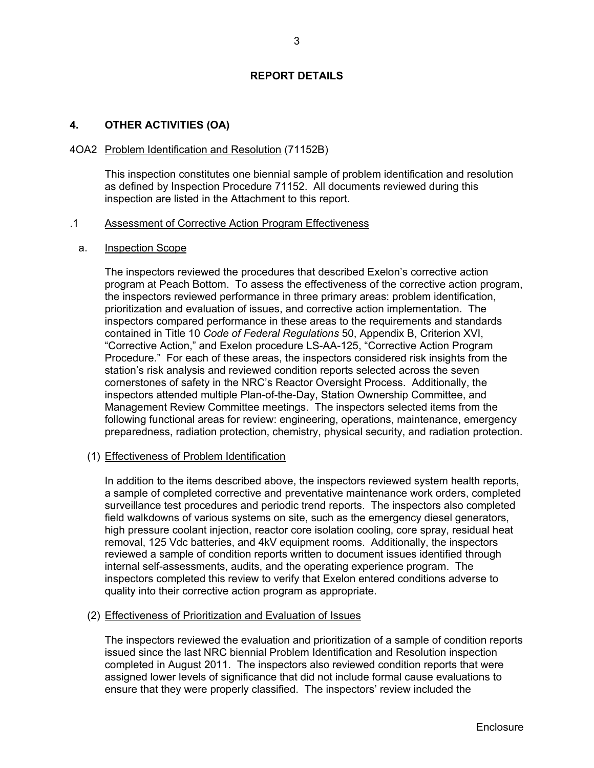### **REPORT DETAILS**

### **4. OTHER ACTIVITIES (OA)**

#### 4OA2 Problem Identification and Resolution (71152B)

This inspection constitutes one biennial sample of problem identification and resolution as defined by Inspection Procedure 71152. All documents reviewed during this inspection are listed in the Attachment to this report.

#### .1 Assessment of Corrective Action Program Effectiveness

#### a. Inspection Scope

The inspectors reviewed the procedures that described Exelon's corrective action program at Peach Bottom. To assess the effectiveness of the corrective action program, the inspectors reviewed performance in three primary areas: problem identification, prioritization and evaluation of issues, and corrective action implementation. The inspectors compared performance in these areas to the requirements and standards contained in Title 10 *Code of Federal Regulations* 50, Appendix B, Criterion XVI, "Corrective Action," and Exelon procedure LS-AA-125, "Corrective Action Program Procedure." For each of these areas, the inspectors considered risk insights from the station's risk analysis and reviewed condition reports selected across the seven cornerstones of safety in the NRC's Reactor Oversight Process. Additionally, the inspectors attended multiple Plan-of-the-Day, Station Ownership Committee, and Management Review Committee meetings. The inspectors selected items from the following functional areas for review: engineering, operations, maintenance, emergency preparedness, radiation protection, chemistry, physical security, and radiation protection.

### (1) Effectiveness of Problem Identification

In addition to the items described above, the inspectors reviewed system health reports, a sample of completed corrective and preventative maintenance work orders, completed surveillance test procedures and periodic trend reports. The inspectors also completed field walkdowns of various systems on site, such as the emergency diesel generators, high pressure coolant injection, reactor core isolation cooling, core spray, residual heat removal, 125 Vdc batteries, and 4kV equipment rooms. Additionally, the inspectors reviewed a sample of condition reports written to document issues identified through internal self-assessments, audits, and the operating experience program. The inspectors completed this review to verify that Exelon entered conditions adverse to quality into their corrective action program as appropriate.

#### (2) Effectiveness of Prioritization and Evaluation of Issues

The inspectors reviewed the evaluation and prioritization of a sample of condition reports issued since the last NRC biennial Problem Identification and Resolution inspection completed in August 2011. The inspectors also reviewed condition reports that were assigned lower levels of significance that did not include formal cause evaluations to ensure that they were properly classified. The inspectors' review included the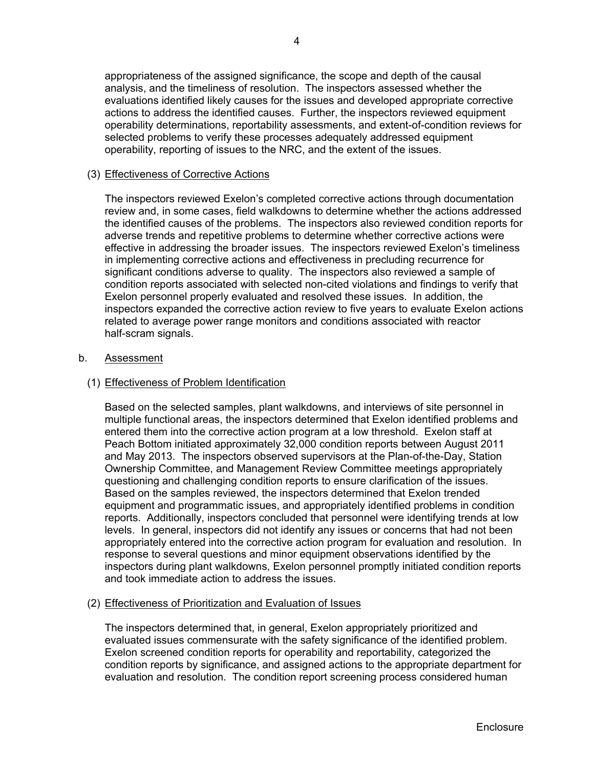# (3) Effectiveness of Corrective Actions

The inspectors reviewed Exelon's completed corrective actions through documentation review and, in some cases, field walkdowns to determine whether the actions addressed the identified causes of the problems. The inspectors also reviewed condition reports for adverse trends and repetitive problems to determine whether corrective actions were effective in addressing the broader issues. The inspectors reviewed Exelon's timeliness in implementing corrective actions and effectiveness in precluding recurrence for significant conditions adverse to quality. The inspectors also reviewed a sample of condition reports associated with selected non-cited violations and findings to verify that Exelon personnel properly evaluated and resolved these issues. In addition, the inspectors expanded the corrective action review to five years to evaluate Exelon actions related to average power range monitors and conditions associated with reactor half-scram signals.

### b. Assessment

## (1) Effectiveness of Problem Identification

Based on the selected samples, plant walkdowns, and interviews of site personnel in multiple functional areas, the inspectors determined that Exelon identified problems and entered them into the corrective action program at a low threshold. Exelon staff at Peach Bottom initiated approximately 32,000 condition reports between August 2011 and May 2013. The inspectors observed supervisors at the Plan-of-the-Day, Station Ownership Committee, and Management Review Committee meetings appropriately questioning and challenging condition reports to ensure clarification of the issues. Based on the samples reviewed, the inspectors determined that Exelon trended equipment and programmatic issues, and appropriately identified problems in condition reports. Additionally, inspectors concluded that personnel were identifying trends at low levels. In general, inspectors did not identify any issues or concerns that had not been appropriately entered into the corrective action program for evaluation and resolution. In response to several questions and minor equipment observations identified by the inspectors during plant walkdowns, Exelon personnel promptly initiated condition reports and took immediate action to address the issues.

### (2) Effectiveness of Prioritization and Evaluation of Issues

The inspectors determined that, in general, Exelon appropriately prioritized and evaluated issues commensurate with the safety significance of the identified problem. Exelon screened condition reports for operability and reportability, categorized the condition reports by significance, and assigned actions to the appropriate department for evaluation and resolution. The condition report screening process considered human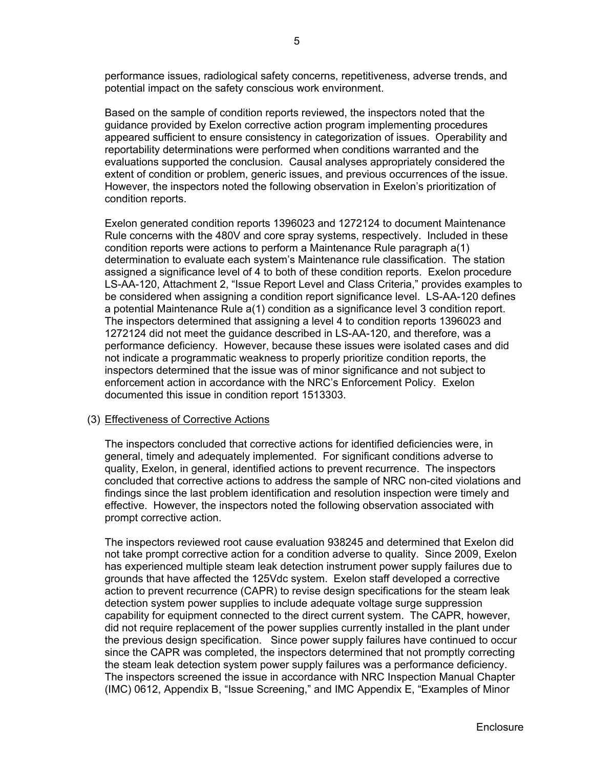performance issues, radiological safety concerns, repetitiveness, adverse trends, and potential impact on the safety conscious work environment.

Based on the sample of condition reports reviewed, the inspectors noted that the guidance provided by Exelon corrective action program implementing procedures appeared sufficient to ensure consistency in categorization of issues. Operability and reportability determinations were performed when conditions warranted and the evaluations supported the conclusion. Causal analyses appropriately considered the extent of condition or problem, generic issues, and previous occurrences of the issue. However, the inspectors noted the following observation in Exelon's prioritization of condition reports.

Exelon generated condition reports 1396023 and 1272124 to document Maintenance Rule concerns with the 480V and core spray systems, respectively. Included in these condition reports were actions to perform a Maintenance Rule paragraph a(1) determination to evaluate each system's Maintenance rule classification. The station assigned a significance level of 4 to both of these condition reports. Exelon procedure LS-AA-120, Attachment 2, "Issue Report Level and Class Criteria," provides examples to be considered when assigning a condition report significance level. LS-AA-120 defines a potential Maintenance Rule a(1) condition as a significance level 3 condition report. The inspectors determined that assigning a level 4 to condition reports 1396023 and 1272124 did not meet the guidance described in LS-AA-120, and therefore, was a performance deficiency. However, because these issues were isolated cases and did not indicate a programmatic weakness to properly prioritize condition reports, the inspectors determined that the issue was of minor significance and not subject to enforcement action in accordance with the NRC's Enforcement Policy. Exelon documented this issue in condition report 1513303.

### (3) Effectiveness of Corrective Actions

The inspectors concluded that corrective actions for identified deficiencies were, in general, timely and adequately implemented. For significant conditions adverse to quality, Exelon, in general, identified actions to prevent recurrence. The inspectors concluded that corrective actions to address the sample of NRC non-cited violations and findings since the last problem identification and resolution inspection were timely and effective. However, the inspectors noted the following observation associated with prompt corrective action.

The inspectors reviewed root cause evaluation 938245 and determined that Exelon did not take prompt corrective action for a condition adverse to quality. Since 2009, Exelon has experienced multiple steam leak detection instrument power supply failures due to grounds that have affected the 125Vdc system. Exelon staff developed a corrective action to prevent recurrence (CAPR) to revise design specifications for the steam leak detection system power supplies to include adequate voltage surge suppression capability for equipment connected to the direct current system. The CAPR, however, did not require replacement of the power supplies currently installed in the plant under the previous design specification. Since power supply failures have continued to occur since the CAPR was completed, the inspectors determined that not promptly correcting the steam leak detection system power supply failures was a performance deficiency. The inspectors screened the issue in accordance with NRC Inspection Manual Chapter (IMC) 0612, Appendix B, "Issue Screening," and IMC Appendix E, "Examples of Minor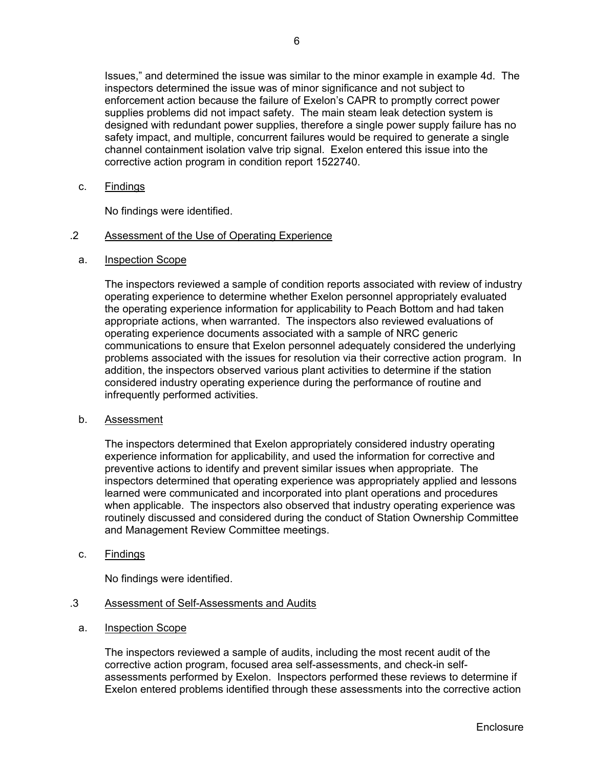Issues," and determined the issue was similar to the minor example in example 4d. The inspectors determined the issue was of minor significance and not subject to enforcement action because the failure of Exelon's CAPR to promptly correct power supplies problems did not impact safety. The main steam leak detection system is designed with redundant power supplies, therefore a single power supply failure has no safety impact, and multiple, concurrent failures would be required to generate a single channel containment isolation valve trip signal. Exelon entered this issue into the corrective action program in condition report 1522740.

c. Findings

No findings were identified.

## .2 Assessment of the Use of Operating Experience

a. Inspection Scope

The inspectors reviewed a sample of condition reports associated with review of industry operating experience to determine whether Exelon personnel appropriately evaluated the operating experience information for applicability to Peach Bottom and had taken appropriate actions, when warranted. The inspectors also reviewed evaluations of operating experience documents associated with a sample of NRC generic communications to ensure that Exelon personnel adequately considered the underlying problems associated with the issues for resolution via their corrective action program. In addition, the inspectors observed various plant activities to determine if the station considered industry operating experience during the performance of routine and infrequently performed activities.

b. Assessment

The inspectors determined that Exelon appropriately considered industry operating experience information for applicability, and used the information for corrective and preventive actions to identify and prevent similar issues when appropriate. The inspectors determined that operating experience was appropriately applied and lessons learned were communicated and incorporated into plant operations and procedures when applicable. The inspectors also observed that industry operating experience was routinely discussed and considered during the conduct of Station Ownership Committee and Management Review Committee meetings.

c. Findings

No findings were identified.

- .3 Assessment of Self-Assessments and Audits
	- a. Inspection Scope

The inspectors reviewed a sample of audits, including the most recent audit of the corrective action program, focused area self-assessments, and check-in selfassessments performed by Exelon. Inspectors performed these reviews to determine if Exelon entered problems identified through these assessments into the corrective action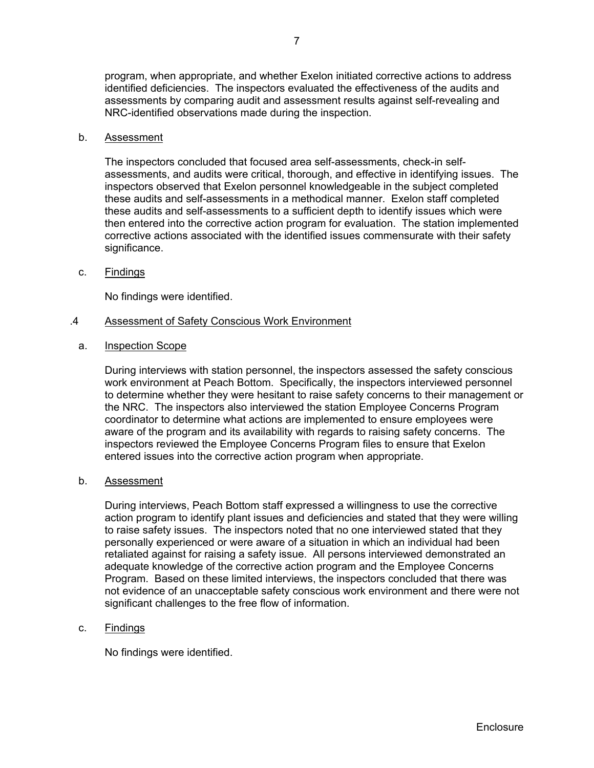program, when appropriate, and whether Exelon initiated corrective actions to address identified deficiencies. The inspectors evaluated the effectiveness of the audits and assessments by comparing audit and assessment results against self-revealing and NRC-identified observations made during the inspection.

#### b. Assessment

The inspectors concluded that focused area self-assessments, check-in selfassessments, and audits were critical, thorough, and effective in identifying issues. The inspectors observed that Exelon personnel knowledgeable in the subject completed these audits and self-assessments in a methodical manner. Exelon staff completed these audits and self-assessments to a sufficient depth to identify issues which were then entered into the corrective action program for evaluation. The station implemented corrective actions associated with the identified issues commensurate with their safety significance.

c. Findings

No findings were identified.

#### .4 Assessment of Safety Conscious Work Environment

a. Inspection Scope

During interviews with station personnel, the inspectors assessed the safety conscious work environment at Peach Bottom. Specifically, the inspectors interviewed personnel to determine whether they were hesitant to raise safety concerns to their management or the NRC. The inspectors also interviewed the station Employee Concerns Program coordinator to determine what actions are implemented to ensure employees were aware of the program and its availability with regards to raising safety concerns. The inspectors reviewed the Employee Concerns Program files to ensure that Exelon entered issues into the corrective action program when appropriate.

b. Assessment

During interviews, Peach Bottom staff expressed a willingness to use the corrective action program to identify plant issues and deficiencies and stated that they were willing to raise safety issues. The inspectors noted that no one interviewed stated that they personally experienced or were aware of a situation in which an individual had been retaliated against for raising a safety issue. All persons interviewed demonstrated an adequate knowledge of the corrective action program and the Employee Concerns Program. Based on these limited interviews, the inspectors concluded that there was not evidence of an unacceptable safety conscious work environment and there were not significant challenges to the free flow of information.

### c. Findings

No findings were identified.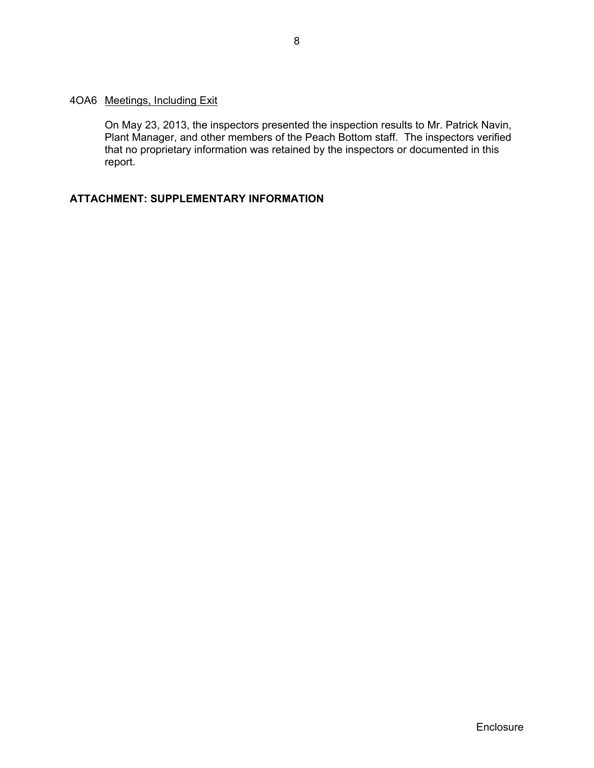### 4OA6 Meetings, Including Exit

On May 23, 2013, the inspectors presented the inspection results to Mr. Patrick Navin, Plant Manager, and other members of the Peach Bottom staff. The inspectors verified that no proprietary information was retained by the inspectors or documented in this report.

# **ATTACHMENT: SUPPLEMENTARY INFORMATION**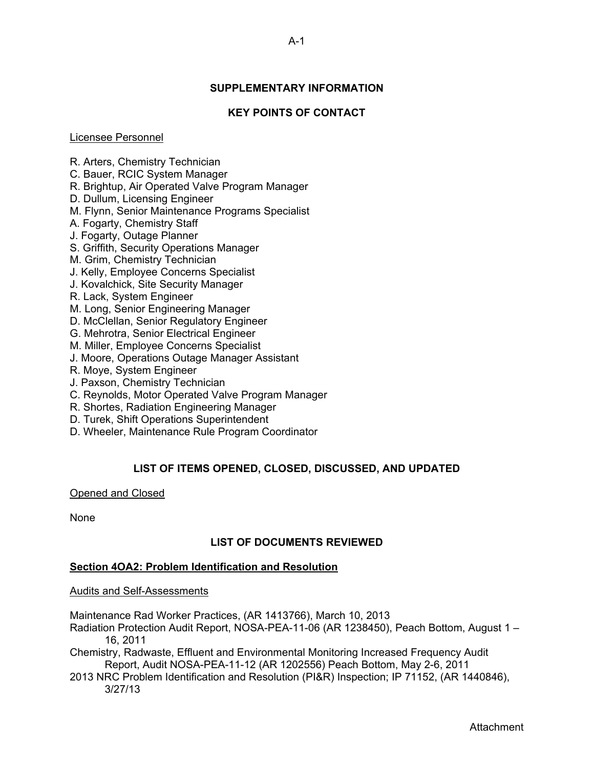# **SUPPLEMENTARY INFORMATION**

## **KEY POINTS OF CONTACT**

#### Licensee Personnel

R. Arters, Chemistry Technician

- C. Bauer, RCIC System Manager
- R. Brightup, Air Operated Valve Program Manager
- D. Dullum, Licensing Engineer
- M. Flynn, Senior Maintenance Programs Specialist
- A. Fogarty, Chemistry Staff
- J. Fogarty, Outage Planner
- S. Griffith, Security Operations Manager
- M. Grim, Chemistry Technician
- J. Kelly, Employee Concerns Specialist
- J. Kovalchick, Site Security Manager
- R. Lack, System Engineer
- M. Long, Senior Engineering Manager
- D. McClellan, Senior Regulatory Engineer
- G. Mehrotra, Senior Electrical Engineer
- M. Miller, Employee Concerns Specialist
- J. Moore, Operations Outage Manager Assistant
- R. Moye, System Engineer
- J. Paxson, Chemistry Technician
- C. Reynolds, Motor Operated Valve Program Manager
- R. Shortes, Radiation Engineering Manager
- D. Turek, Shift Operations Superintendent
- D. Wheeler, Maintenance Rule Program Coordinator

# **LIST OF ITEMS OPENED, CLOSED, DISCUSSED, AND UPDATED**

### Opened and Closed

None

# **LIST OF DOCUMENTS REVIEWED**

### **Section 4OA2: Problem Identification and Resolution**

### Audits and Self-Assessments

Maintenance Rad Worker Practices, (AR 1413766), March 10, 2013

Radiation Protection Audit Report, NOSA-PEA-11-06 (AR 1238450), Peach Bottom, August 1 – 16, 2011

Chemistry, Radwaste, Effluent and Environmental Monitoring Increased Frequency Audit Report, Audit NOSA-PEA-11-12 (AR 1202556) Peach Bottom, May 2-6, 2011

2013 NRC Problem Identification and Resolution (PI&R) Inspection; IP 71152, (AR 1440846), 3/27/13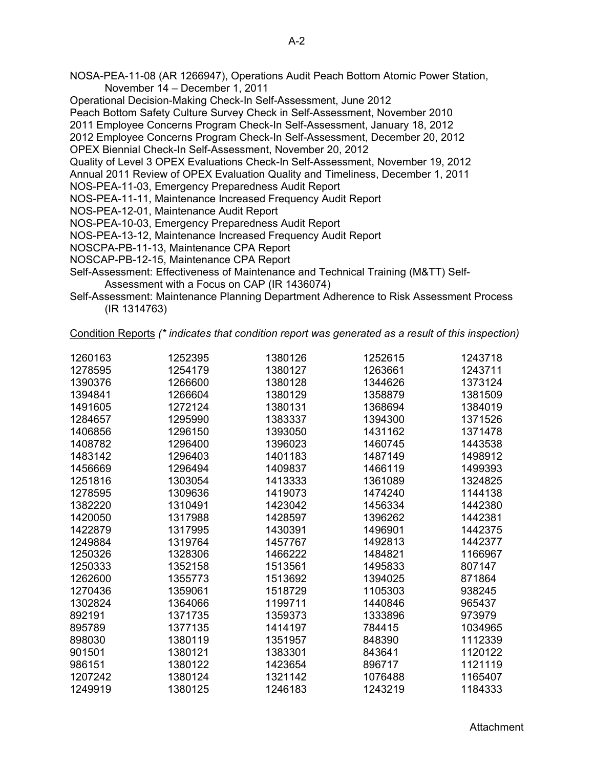- NOSA-PEA-11-08 (AR 1266947), Operations Audit Peach Bottom Atomic Power Station, November 14 – December 1, 2011
- Operational Decision-Making Check-In Self-Assessment, June 2012

Peach Bottom Safety Culture Survey Check in Self-Assessment, November 2010

2011 Employee Concerns Program Check-In Self-Assessment, January 18, 2012

2012 Employee Concerns Program Check-In Self-Assessment, December 20, 2012

OPEX Biennial Check-In Self-Assessment, November 20, 2012

Quality of Level 3 OPEX Evaluations Check-In Self-Assessment, November 19, 2012

Annual 2011 Review of OPEX Evaluation Quality and Timeliness, December 1, 2011

NOS-PEA-11-03, Emergency Preparedness Audit Report

NOS-PEA-11-11, Maintenance Increased Frequency Audit Report

NOS-PEA-12-01, Maintenance Audit Report

NOS-PEA-10-03, Emergency Preparedness Audit Report

NOS-PEA-13-12, Maintenance Increased Frequency Audit Report

NOSCPA-PB-11-13, Maintenance CPA Report

NOSCAP-PB-12-15, Maintenance CPA Report

Self-Assessment: Effectiveness of Maintenance and Technical Training (M&TT) Self-Assessment with a Focus on CAP (IR 1436074)

Self-Assessment: Maintenance Planning Department Adherence to Risk Assessment Process (IR 1314763)

Condition Reports *(\* indicates that condition report was generated as a result of this inspection)* 

| 1260163 | 1252395 | 1380126 | 1252615 | 1243718 |
|---------|---------|---------|---------|---------|
| 1278595 | 1254179 | 1380127 | 1263661 | 1243711 |
| 1390376 | 1266600 | 1380128 | 1344626 | 1373124 |
| 1394841 | 1266604 | 1380129 | 1358879 | 1381509 |
| 1491605 | 1272124 | 1380131 | 1368694 | 1384019 |
| 1284657 | 1295990 | 1383337 | 1394300 | 1371526 |
| 1406856 | 1296150 | 1393050 | 1431162 | 1371478 |
| 1408782 | 1296400 | 1396023 | 1460745 | 1443538 |
| 1483142 | 1296403 | 1401183 | 1487149 | 1498912 |
| 1456669 | 1296494 | 1409837 | 1466119 | 1499393 |
| 1251816 | 1303054 | 1413333 | 1361089 | 1324825 |
| 1278595 | 1309636 | 1419073 | 1474240 | 1144138 |
| 1382220 | 1310491 | 1423042 | 1456334 | 1442380 |
| 1420050 | 1317988 | 1428597 | 1396262 | 1442381 |
| 1422879 | 1317995 | 1430391 | 1496901 | 1442375 |
| 1249884 | 1319764 | 1457767 | 1492813 | 1442377 |
| 1250326 | 1328306 | 1466222 | 1484821 | 1166967 |
| 1250333 | 1352158 | 1513561 | 1495833 | 807147  |
| 1262600 | 1355773 | 1513692 | 1394025 | 871864  |
| 1270436 | 1359061 | 1518729 | 1105303 | 938245  |
| 1302824 | 1364066 | 1199711 | 1440846 | 965437  |
| 892191  | 1371735 | 1359373 | 1333896 | 973979  |
| 895789  | 1377135 | 1414197 | 784415  | 1034965 |
| 898030  | 1380119 | 1351957 | 848390  | 1112339 |
| 901501  | 1380121 | 1383301 | 843641  | 1120122 |
| 986151  | 1380122 | 1423654 | 896717  | 1121119 |
| 1207242 | 1380124 | 1321142 | 1076488 | 1165407 |
| 1249919 | 1380125 | 1246183 | 1243219 | 1184333 |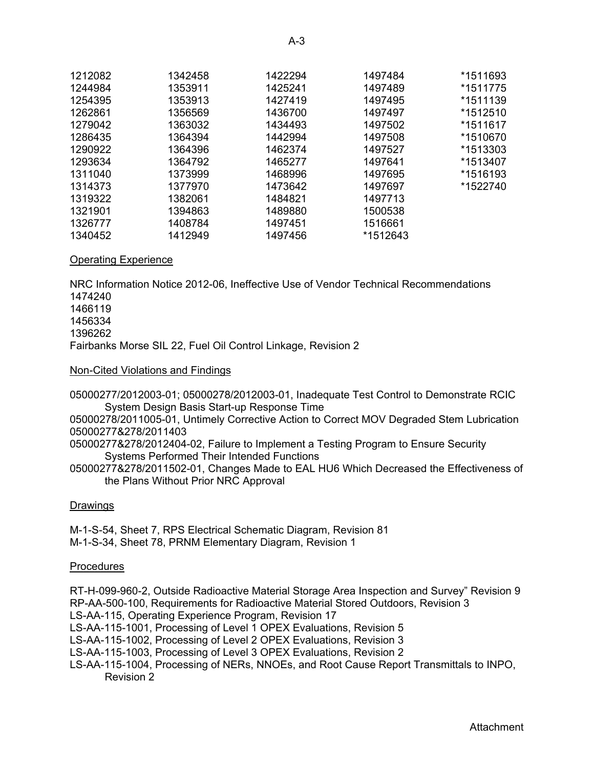| 1212082 | 1342458 | 1422294 | 1497484  | *1511693 |
|---------|---------|---------|----------|----------|
| 1244984 | 1353911 | 1425241 | 1497489  | *1511775 |
| 1254395 | 1353913 | 1427419 | 1497495  | *1511139 |
| 1262861 | 1356569 | 1436700 | 1497497  | *1512510 |
| 1279042 | 1363032 | 1434493 | 1497502  | *1511617 |
| 1286435 | 1364394 | 1442994 | 1497508  | *1510670 |
| 1290922 | 1364396 | 1462374 | 1497527  | *1513303 |
| 1293634 | 1364792 | 1465277 | 1497641  | *1513407 |
| 1311040 | 1373999 | 1468996 | 1497695  | *1516193 |
| 1314373 | 1377970 | 1473642 | 1497697  | *1522740 |
| 1319322 | 1382061 | 1484821 | 1497713  |          |
| 1321901 | 1394863 | 1489880 | 1500538  |          |
| 1326777 | 1408784 | 1497451 | 1516661  |          |
| 1340452 | 1412949 | 1497456 | *1512643 |          |

### Operating Experience

NRC Information Notice 2012-06, Ineffective Use of Vendor Technical Recommendations Fairbanks Morse SIL 22, Fuel Oil Control Linkage, Revision 2

### Non-Cited Violations and Findings

05000277/2012003-01; 05000278/2012003-01, Inadequate Test Control to Demonstrate RCIC System Design Basis Start-up Response Time

05000278/2011005-01, Untimely Corrective Action to Correct MOV Degraded Stem Lubrication 05000277&278/2011403

05000277&278/2012404-02, Failure to Implement a Testing Program to Ensure Security Systems Performed Their Intended Functions

05000277&278/2011502-01, Changes Made to EAL HU6 Which Decreased the Effectiveness of the Plans Without Prior NRC Approval

### Drawings

M-1-S-54, Sheet 7, RPS Electrical Schematic Diagram, Revision 81 M-1-S-34, Sheet 78, PRNM Elementary Diagram, Revision 1

### **Procedures**

RT-H-099-960-2, Outside Radioactive Material Storage Area Inspection and Survey" Revision 9 RP-AA-500-100, Requirements for Radioactive Material Stored Outdoors, Revision 3

LS-AA-115, Operating Experience Program, Revision 17

LS-AA-115-1001, Processing of Level 1 OPEX Evaluations, Revision 5

LS-AA-115-1002, Processing of Level 2 OPEX Evaluations, Revision 3

LS-AA-115-1003, Processing of Level 3 OPEX Evaluations, Revision 2

LS-AA-115-1004, Processing of NERs, NNOEs, and Root Cause Report Transmittals to INPO, Revision 2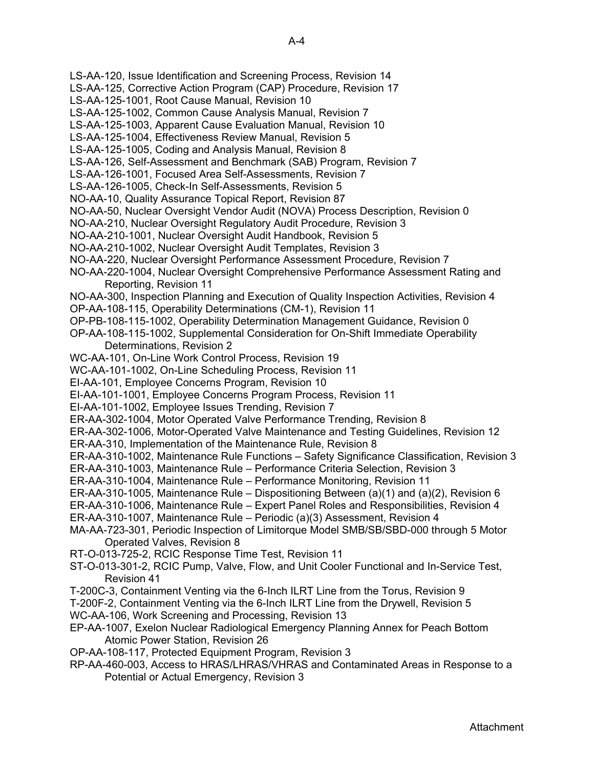- LS-AA-120, Issue Identification and Screening Process, Revision 14
- LS-AA-125, Corrective Action Program (CAP) Procedure, Revision 17
- LS-AA-125-1001, Root Cause Manual, Revision 10
- LS-AA-125-1002, Common Cause Analysis Manual, Revision 7
- LS-AA-125-1003, Apparent Cause Evaluation Manual, Revision 10
- LS-AA-125-1004, Effectiveness Review Manual, Revision 5
- LS-AA-125-1005, Coding and Analysis Manual, Revision 8
- LS-AA-126, Self-Assessment and Benchmark (SAB) Program, Revision 7
- LS-AA-126-1001, Focused Area Self-Assessments, Revision 7
- LS-AA-126-1005, Check-In Self-Assessments, Revision 5
- NO-AA-10, Quality Assurance Topical Report, Revision 87
- NO-AA-50, Nuclear Oversight Vendor Audit (NOVA) Process Description, Revision 0
- NO-AA-210, Nuclear Oversight Regulatory Audit Procedure, Revision 3
- NO-AA-210-1001, Nuclear Oversight Audit Handbook, Revision 5
- NO-AA-210-1002, Nuclear Oversight Audit Templates, Revision 3
- NO-AA-220, Nuclear Oversight Performance Assessment Procedure, Revision 7
- NO-AA-220-1004, Nuclear Oversight Comprehensive Performance Assessment Rating and Reporting, Revision 11
- NO-AA-300, Inspection Planning and Execution of Quality Inspection Activities, Revision 4
- OP-AA-108-115, Operability Determinations (CM-1), Revision 11
- OP-PB-108-115-1002, Operability Determination Management Guidance, Revision 0
- OP-AA-108-115-1002, Supplemental Consideration for On-Shift Immediate Operability Determinations, Revision 2
- WC-AA-101, On-Line Work Control Process, Revision 19
- WC-AA-101-1002, On-Line Scheduling Process, Revision 11
- EI-AA-101, Employee Concerns Program, Revision 10
- EI-AA-101-1001, Employee Concerns Program Process, Revision 11
- EI-AA-101-1002, Employee Issues Trending, Revision 7
- ER-AA-302-1004, Motor Operated Valve Performance Trending, Revision 8
- ER-AA-302-1006, Motor-Operated Valve Maintenance and Testing Guidelines, Revision 12
- ER-AA-310, Implementation of the Maintenance Rule, Revision 8
- ER-AA-310-1002, Maintenance Rule Functions Safety Significance Classification, Revision 3
- ER-AA-310-1003, Maintenance Rule Performance Criteria Selection, Revision 3
- ER-AA-310-1004, Maintenance Rule Performance Monitoring, Revision 11
- ER-AA-310-1005, Maintenance Rule Dispositioning Between (a)(1) and (a)(2), Revision 6
- ER-AA-310-1006, Maintenance Rule Expert Panel Roles and Responsibilities, Revision 4
- ER-AA-310-1007, Maintenance Rule Periodic (a)(3) Assessment, Revision 4
- MA-AA-723-301, Periodic Inspection of Limitorque Model SMB/SB/SBD-000 through 5 Motor Operated Valves, Revision 8
- RT-O-013-725-2, RCIC Response Time Test, Revision 11
- ST-O-013-301-2, RCIC Pump, Valve, Flow, and Unit Cooler Functional and In-Service Test, Revision 41
- T-200C-3, Containment Venting via the 6-Inch ILRT Line from the Torus, Revision 9
- T-200F-2, Containment Venting via the 6-Inch ILRT Line from the Drywell, Revision 5 WC-AA-106, Work Screening and Processing, Revision 13
- EP-AA-1007, Exelon Nuclear Radiological Emergency Planning Annex for Peach Bottom Atomic Power Station, Revision 26
- OP-AA-108-117, Protected Equipment Program, Revision 3
- RP-AA-460-003, Access to HRAS/LHRAS/VHRAS and Contaminated Areas in Response to a Potential or Actual Emergency, Revision 3